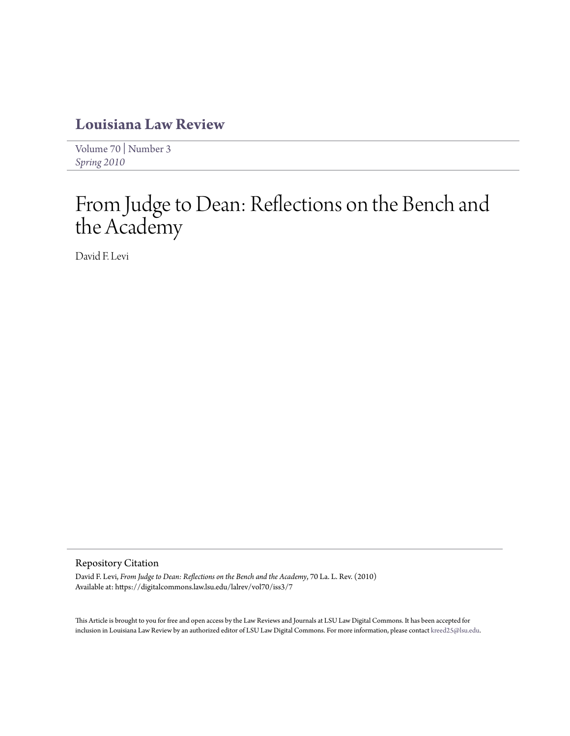# **[Louisiana Law Review](https://digitalcommons.law.lsu.edu/lalrev)**

[Volume 70](https://digitalcommons.law.lsu.edu/lalrev/vol70) | [Number 3](https://digitalcommons.law.lsu.edu/lalrev/vol70/iss3) *[Spring 2010](https://digitalcommons.law.lsu.edu/lalrev/vol70/iss3)*

# From Judge to Dean: Reflections on the Bench and the Academy

David F. Levi

#### Repository Citation

David F. Levi, *From Judge to Dean: Reflections on the Bench and the Academy*, 70 La. L. Rev. (2010) Available at: https://digitalcommons.law.lsu.edu/lalrev/vol70/iss3/7

This Article is brought to you for free and open access by the Law Reviews and Journals at LSU Law Digital Commons. It has been accepted for inclusion in Louisiana Law Review by an authorized editor of LSU Law Digital Commons. For more information, please contact [kreed25@lsu.edu](mailto:kreed25@lsu.edu).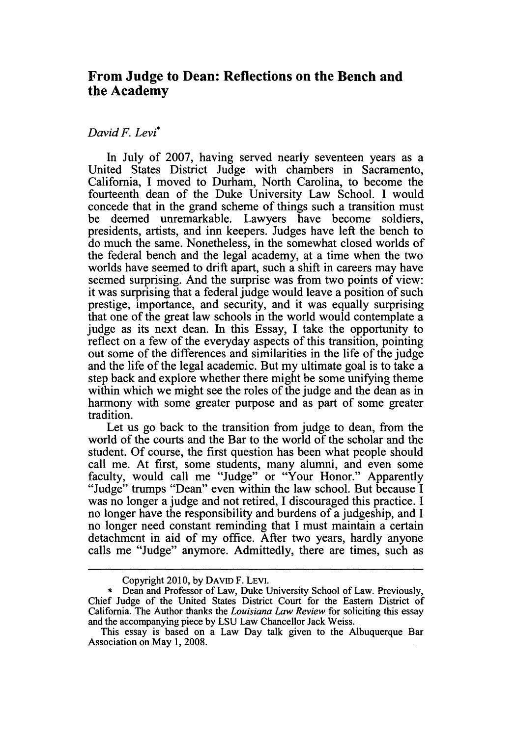## **From Judge to Dean: Reflections on the Bench and the Academy**

### *David F. Levi\**

In July of **2007,** having served nearly seventeen years as a United States District Judge with chambers in Sacramento, California, **I** moved to Durham, North Carolina, to become the fourteenth dean of the Duke University Law School. **I** would concede that in the grand scheme of things such a transition must be deemed unremarkable. Lawyers have become soldiers, presidents, artists, and inn keepers. Judges have left the bench to do much the same. Nonetheless, in the somewhat closed worlds of the federal bench and the legal academy, at a time when the two worlds have seemed to drift apart, such a shift in careers may have seemed surprising. And the surprise was from two points of view: it was surprising that a federal judge would leave a position of such prestige, importance, and security, and it was equally surprising that one of the great law schools in the world would contemplate a judge as its next dean. In this Essay, **I** take the opportunity to reflect on a few of the everyday aspects of this transition, pointing out some of the differences and similarities in the life of the judge and the life of the legal academic. But my ultimate goal is to take a step back and explore whether there might be some unifying theme within which we might see the roles of the judge and the dean as in harmony with some greater purpose and as part of some greater tradition.

Let us go back to the transition from judge to dean, from the world of the courts and the Bar to the world of the scholar and the student. Of course, the first question has been what people should call me. At first, some students, many alumni, and even some faculty, would call me "Judge" or "Your Honor." Apparently "Judge" trumps "Dean" even within the law school. But because I was no longer a judge and not retired, I discouraged this practice. I no longer have the responsibility and burdens of a judgeship, and I no longer need constant reminding that I must maintain a certain detachment in aid of my office. After two years, hardly anyone calls me "Judge" anymore. Admittedly, there are times, such as

Copyright 2010, by DAvID F. LEVI.

<sup>\*</sup> Dean and Professor of Law, Duke University School of Law. Previously, Chief Judge of the United States District Court for the Eastern District of California. The Author thanks the *Louisiana Law Review* for soliciting this essay and the accompanying piece by LSU Law Chancellor Jack Weiss.

This essay is based on a Law Day talk given to the Albuquerque Bar Association on May 1, 2008.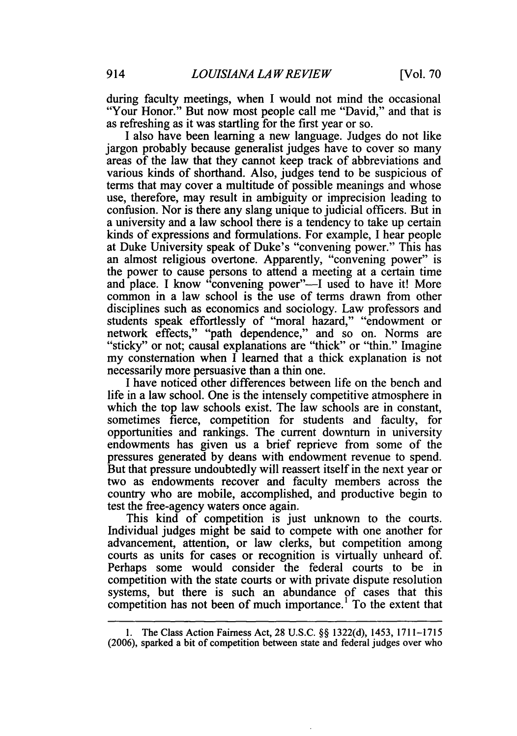during faculty meetings, when I would not mind the occasional "Your Honor." But now most people call me "David," and that is as refreshing as it was startling for the first year or so.

I also have been learning a new language. Judges do not like jargon probably because generalist judges have to cover so many areas of the law that they cannot keep track of abbreviations and various kinds of shorthand. Also, judges tend to be suspicious of terms that may cover a multitude of possible meanings and whose use, therefore, may result in ambiguity or imprecision leading to confusion. Nor is there any slang unique to judicial officers. But in a university and a law school there is a tendency to take up certain kinds of expressions and formulations. For example, I hear people at Duke University speak of Duke's "convening power." This has an almost religious overtone. Apparently, "convening power" is the power to cause persons to attend a meeting at a certain time and place. I know "convening power"-I used to have it! More common in a law school is the use of terms drawn from other disciplines such as economics and sociology. Law professors and students speak effortlessly of "moral hazard," "endowment or network effects," "path dependence," and so on. Norms are "sticky" or not; causal explanations are "thick" or "thin." Imagine my consternation when I learned that a thick explanation is not necessarily more persuasive than a thin one.

I have noticed other differences between life on the bench and life in a law school. One is the intensely competitive atmosphere in which the top law schools exist. The law schools are in constant, sometimes fierce, competition for students and faculty, for opportunities and rankings. The current downturn in university endowments has given us a brief reprieve from some of the pressures generated by deans with endowment revenue to spend. But that pressure undoubtedly will reassert itself in the next year or two as endowments recover and faculty members across the country who are mobile, accomplished, and productive begin to test the free-agency waters once again.

This kind of competition is just unknown to the courts. Individual judges might be said to compete with one another for advancement, attention, or law clerks, but competition among courts as units for cases or recognition is virtually unheard of. Perhaps some would consider the federal courts to be in competition with the state courts or with private dispute resolution systems, but there is such an abundance of cases that this competition has not been of much importance.' To the extent that

<sup>1.</sup> The Class Action Fairness Act, 28 U.S.C. §§ 1322(d), 1453, 1711-1715 (2006), sparked a bit of competition between state and federal judges over who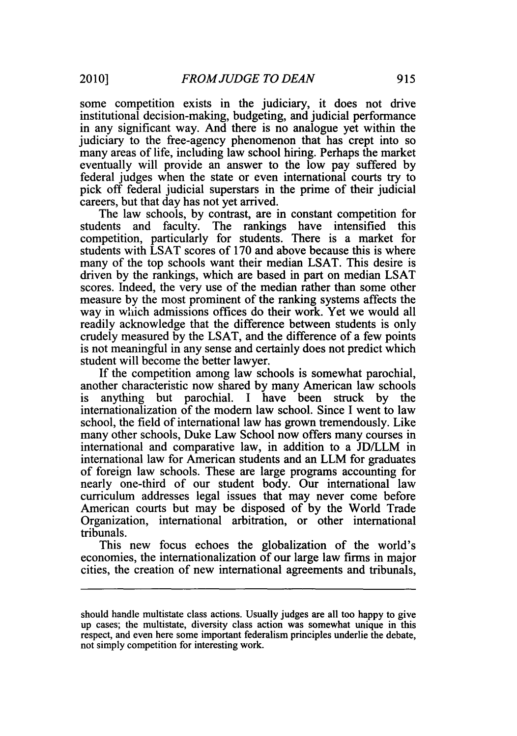some competition exists in the judiciary, it does not drive institutional decision-making, budgeting, and judicial performance in any significant way. And there is no analogue yet within the judiciary to the free-agency phenomenon that has crept into so many areas of life, including law school hiring. Perhaps the market eventually will provide an answer to the low pay suffered by federal judges when the state or even international courts try to pick off federal judicial superstars in the prime of their judicial careers, but that day has not yet arrived.

The law schools, by contrast, are in constant competition for students and faculty. The rankings have intensified this competition, particularly for students. There is a market for students with LSAT scores of 170 and above because this is where many of the top schools want their median LSAT. This desire is driven by the rankings, which are based in part on median LSAT scores. Indeed, the very use of the median rather than some other measure by the most prominent of the ranking systems affects the way in which admissions offices do their work. Yet we would all readily acknowledge that the difference between students is only crudely measured by the LSAT, and the difference of a few points is not meaningful in any sense and certainly does not predict which student will become the better lawyer.

If the competition among law schools is somewhat parochial, another characteristic now shared by many American law schools is anything but parochial. I have been struck by the internationalization of the modem law school. Since I went to law school, the field of international law has grown tremendously. Like many other schools, Duke Law School now offers many courses in international and comparative law, in addition to a JD/LLM in international law for American students and an LLM for graduates of foreign law schools. These are large programs accounting for nearly one-third of our student body. Our international law curriculum addresses legal issues that may never come before American courts but may be disposed of by the World Trade Organization, international arbitration, or other international tribunals.

This new focus echoes the globalization of the world's economies, the internationalization of our large law firms in major cities, the creation of new international agreements and tribunals,

should handle multistate class actions. Usually judges are all too happy to give up cases; the multistate, diversity class action was somewhat unique in this respect, and even here some important federalism principles underlie the debate, not simply competition for interesting work.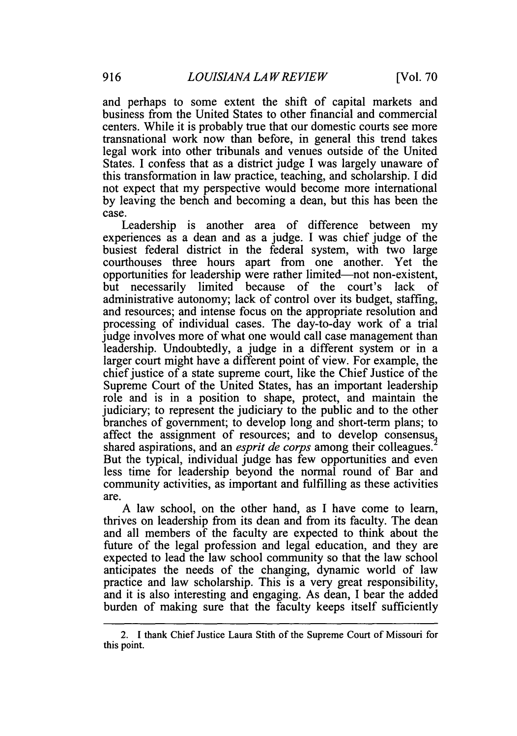and perhaps to some extent the shift of capital markets and business from the United States to other financial and commercial centers. While it is probably true that our domestic courts see more transnational work now than before, in general this trend takes legal work into other tribunals and venues outside of the United States. I confess that as a district judge I was largely unaware of this transformation in law practice, teaching, and scholarship. I did not expect that my perspective would become more international by leaving the bench and becoming a dean, but this has been the case.

Leadership is another area of difference between my experiences as a dean and as a judge. I was chief judge of the busiest federal district in the federal system, with two large courthouses three hours apart from one another. Yet the opportunities for leadership were rather limited-not non-existent, but necessarily limited because of the court's lack of administrative autonomy; lack of control over its budget, staffing, and resources; and intense focus on the appropriate resolution and processing of individual cases. The day-to-day work of a trial judge involves more of what one would call case management than leadership. Undoubtedly, a judge in a different system or in a larger court might have a different point of view. For example, the chief justice of a state supreme court, like the Chief Justice of the Supreme Court of the United States, has an important leadership role and is in a position to shape, protect, and maintain the judiciary; to represent the judiciary to the public and to the other branches of government; to develop long and short-term plans; to affect the assignment of resources; and to develop consensus, shared aspirations, and an *esprit de corps* among their colleagues. But the typical, individual judge has few opportunities and even less time for leadership beyond the normal round of Bar and community activities, as important and fulfilling as these activities are.

A law school, on the other hand, as I have come to learn, thrives on leadership from its dean and from its faculty. The dean and all members of the faculty are expected to think about the future of the legal profession and legal education, and they are expected to lead the law school community so that the law school anticipates the needs of the changing, dynamic world of law practice and law scholarship. This is a very great responsibility, and it is also interesting and engaging. As dean, I bear the added burden of making sure that the faculty keeps itself sufficiently

<sup>2.</sup> I thank Chief Justice Laura Stith of the Supreme Court of Missouri for this point.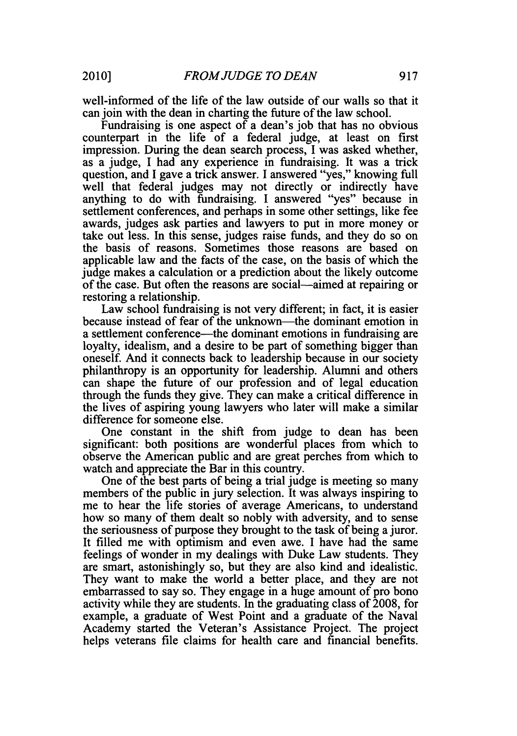well-informed of the life of the law outside of our walls so that it can join with the dean in charting the future of the law school.

Fundraising is one aspect of a dean's job that has no obvious counterpart in the life of a federal judge, at least on first impression. During the dean search process, I was asked whether, as a judge, I had any experience in fundraising. It was a trick question, and I gave a trick answer. I answered "yes," knowing full well that federal judges may not directly or indirectly have anything to do with fundraising. I answered "yes" because in settlement conferences, and perhaps in some other settings, like fee awards, judges ask parties and lawyers to put in more money or take out less. In this sense, judges raise funds, and they do so on the basis of reasons. Sometimes those reasons are based on applicable law and the facts of the case, on the basis of which the judge makes a calculation or a prediction about the likely outcome of the case. But often the reasons are social-aimed at repairing or restoring a relationship.

Law school fundraising is not very different; in fact, it is easier because instead of fear of the unknown—the dominant emotion in a settlement conference—the dominant emotions in fundraising are loyalty, idealism, and a desire to be part of something bigger than oneself. And it connects back to leadership because in our society philanthropy is an opportunity for leadership. Alumni and others can shape the future of our profession and of legal education through the funds they give. They can make a critical difference in the lives of aspiring young lawyers who later will make a similar difference for someone else.

One constant in the shift from judge to dean has been significant: both positions are wonderful places from which to observe the American public and are great perches from which to watch and appreciate the Bar in this country.

One of the best parts of being a trial judge is meeting so many members of the public in jury selection. It was always inspiring to me to hear the life stories of average Americans, to understand how so many of them dealt so nobly with adversity, and to sense the seriousness of purpose they brought to the task of being a juror. It filled me with optimism and even awe. I have had the same feelings of wonder in my dealings with Duke Law students. They are smart, astonishingly so, but they are also kind and idealistic. They want to make the world a better place, and they are not embarrassed to say so. They engage in a huge amount of pro bono activity while they are students. In the graduating class of 2008, for example, a graduate of West Point and a graduate of the Naval Academy started the Veteran's Assistance Project. The project helps veterans file claims for health care and financial benefits.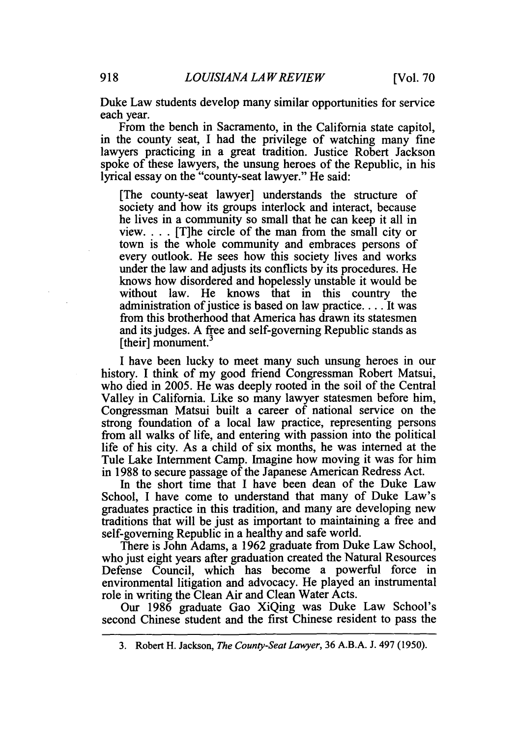Duke Law students develop many similar opportunities for service each year.

From the bench in Sacramento, in the California state capitol, in the county seat, **I** had the privilege of watching many fine lawyers practicing in a great tradition. Justice Robert Jackson spoke of these lawyers, the unsung heroes of the Republic, in his lyrical essay on the "county-seat lawyer." He said:

[The county-seat lawyer] understands the structure of society and how its groups interlock and interact, because he lives in a community so small that he can keep it all in view. . . . [T]he circle of the man from the small city or town is the whole community and embraces persons of every outlook. He sees how this society lives and works under the law and adjusts its conflicts **by** its procedures. He knows how disordered and hopelessly unstable it would be without law. He knows that in this country the administration of justice is based on law practice **....** It was from this brotherhood that America has drawn its statesmen and its judges. **A** free and self-governing Republic stands as [their] monument.

**I** have been lucky to meet many such unsung heroes in our history. **I** think of my good friend Congressman Robert Matsui, who died in **2005.** He was deeply rooted in the soil of the Central Valley in California. Like so many lawyer statesmen before him, Congressman Matsui built a career of national service on the strong foundation of a local law practice, representing persons from all walks of life, and entering with passion into the political life of his city. As a child of six months, he was interned at the Tule Lake Internment Camp. Imagine how moving it was for him in **1988** to secure passage of the Japanese American Redress Act.

In the short time that **I** have been dean of the Duke Law School, I have come to understand that many of Duke Law's graduates practice in this tradition, and many are developing new traditions that will be just as important to maintaining a free and self-governing Republic in a healthy and safe world.

There is John Adams, a **1962** graduate from Duke Law School, who just eight years after graduation created the Natural Resources Defense Council, which has become a powerful force in environmental litigation and advocacy. He played an instrumental role in writing the Clean Air and Clean Water Acts.

Our **1986** graduate Gao XiQing was Duke Law School's second Chinese student and the first Chinese resident to pass the

**<sup>3.</sup>** Robert H. Jackson, *The County-Seat Lawyer,* **36 A.B.A. J.** 497 **(1950).**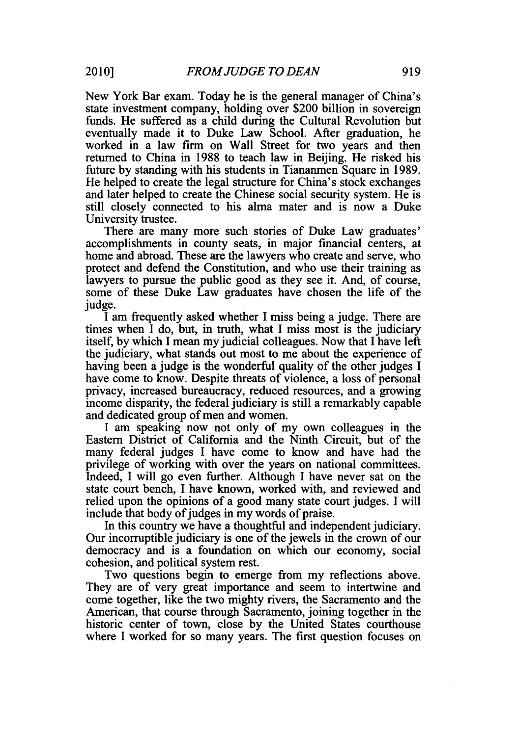New York Bar exam. Today he is the general manager of China's state investment company, holding over \$200 billion in sovereign funds. He suffered as a child during the Cultural Revolution but eventually made it to Duke Law School. After graduation, he worked in a law firm on Wall Street for two years and then returned to China in 1988 to teach law in Beijing. He risked his future by standing with his students in Tiananmen Square in 1989. He helped to create the legal structure for China's stock exchanges and later helped to create the Chinese social security system. He is still closely connected to his alma mater and is now a Duke University trustee.

There are many more such stories of Duke Law graduates' accomplishments in county seats, in major financial centers, at home and abroad. These are the lawyers who create and serve, who protect and defend the Constitution, and who use their training as lawyers to pursue the public good as they see it. And, of course, some of these Duke Law graduates have chosen the life of the judge.

I am frequently asked whether I miss being a judge. There are times when I do, but, in truth, what I miss most is the judiciary itself, by which I mean my judicial colleagues. Now that I have left the judiciary, what stands out most to me about the experience of having been a judge is the wonderful quality of the other judges I have come to know. Despite threats of violence, a loss of personal privacy, increased bureaucracy, reduced resources, and a growing income disparity, the federal judiciary is still a remarkably capable and dedicated group of men and women.

I am speaking now not only of my own colleagues in the Eastern District of California and the Ninth Circuit, but of the many federal judges I have come to know and have had the privilege of working with over the years on national committees. Indeed, I will go even further. Although I have never sat on the state court bench, I have known, worked with, and reviewed and relied upon the opinions of a good many state court judges. I will include that body of judges in my words of praise.

In this country we have a thoughtful and independent judiciary. Our incorruptible judiciary is one of the jewels in the crown of our democracy and is a foundation on which our economy, social cohesion, and political system rest.

Two questions begin to emerge from my reflections above. They are of very great importance and seem to intertwine and come together, like the two mighty rivers, the Sacramento and the American, that course through Sacramento, joining together in the historic center of town, close by the United States courthouse where I worked for so many years. The first question focuses on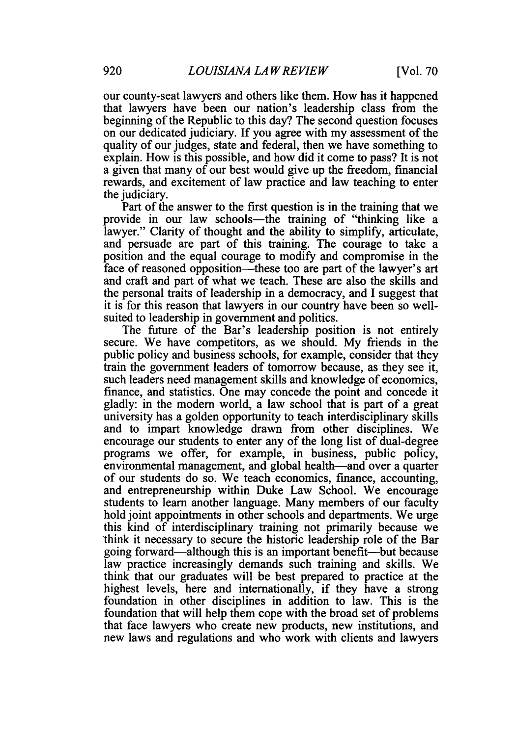our county-seat lawyers and others like them. How has it happened that lawyers have been our nation's leadership class from the beginning of the Republic to this day? The second question focuses on our dedicated judiciary. If you agree with my assessment of the quality of our judges, state and federal, then we have something to explain. How is this possible, and how did it come to pass? It is not a given that many of our best would give up the freedom, financial rewards, and excitement of law practice and law teaching to enter the judiciary.

Part of the answer to the first question is in the training that we provide in our law schools—the training of "thinking like a lawyer." Clarity of thought and the ability to simplify, articulate, and persuade are part of this training. The courage to take a position and the equal courage to modify and compromise in the face of reasoned opposition—these too are part of the lawyer's art and craft and part of what we teach. These are also the skills and the personal traits of leadership in a democracy, and I suggest that it is for this reason that lawyers in our country have been so wellsuited to leadership in government and politics.

The future of the Bar's leadership position is not entirely secure. We have competitors, as we should. My friends in the public policy and business schools, for example, consider that they train the government leaders of tomorrow because, as they see it, such leaders need management skills and knowledge of economics, finance, and statistics. One may concede the point and concede it gladly: in the modern world, a law school that is part of a great university has a golden opportunity to teach interdisciplinary skills and to impart knowledge drawn from other disciplines. We encourage our students to enter any of the long list of dual-degree programs we offer, for example, in business, public policy, environmental management, and global health—and over a quarter of our students do so. We teach economics, finance, accounting, and entrepreneurship within Duke Law School. We encourage students to learn another language. Many members of our faculty hold joint appointments in other schools and departments. We urge this kind of interdisciplinary training not primarily because we think it necessary to secure the historic leadership role of the Bar going forward-although this is an important benefit-but because law practice increasingly demands such training and skills. We think that our graduates will be best prepared to practice at the highest levels, here and internationally, if they have a strong foundation in other disciplines in addition to law. This is the foundation that will help them cope with the broad set of problems that face lawyers who create new products, new institutions, and new laws and regulations and who work with clients and lawyers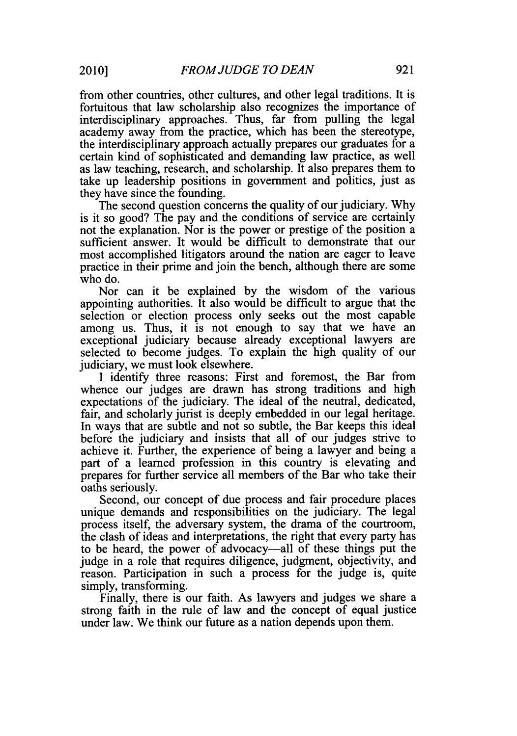from other countries, other cultures, and other legal traditions. It is fortuitous that law scholarship also recognizes the importance of interdisciplinary approaches. Thus, far from pulling the legal academy away from the practice, which has been the stereotype, the interdisciplinary approach actually prepares our graduates for a certain kind of sophisticated and demanding law practice, as well as law teaching, research, and scholarship. It also prepares them to take up leadership positions in government and politics, just as they have since the founding.

The second question concerns the quality of our judiciary. Why is it so good? The pay and the conditions of service are certainly not the explanation. Nor is the power or prestige of the position a sufficient answer. It would be difficult to demonstrate that our most accomplished litigators around the nation are eager to leave practice in their prime and join the bench, although there are some who do.

Nor can it be explained by the wisdom of the various appointing authorities. It also would be difficult to argue that the selection or election process only seeks out the most capable among us. Thus, it is not enough to say that we have an exceptional judiciary because already exceptional lawyers are selected to become judges. To explain the high quality of our judiciary, we must look elsewhere.

I identify three reasons: First and foremost, the Bar from whence our judges are drawn has strong traditions and high expectations of the judiciary. The ideal of the neutral, dedicated, fair, and scholarly jurist is deeply embedded in our legal heritage. In ways that are subtle and not so subtle, the Bar keeps this ideal before the judiciary and insists that all of our judges strive to achieve it. Further, the experience of being a lawyer and being a part of a learned profession in this country is elevating and prepares for further service all members of the Bar who take their oaths seriously.

Second, our concept of due process and fair procedure places unique demands and responsibilities on the judiciary. The legal process itself, the adversary system, the drama of the courtroom, the clash of ideas and interpretations, the right that every party has to be heard, the power of advocacy-all of these things put the judge in a role that requires diligence, judgment, objectivity, and reason. Participation in such a process for the judge is, quite simply, transforming.

Finally, there is our faith. As lawyers and judges we share a strong faith in the rule of law and the concept of equal justice under law. We think our future as a nation depends upon them.